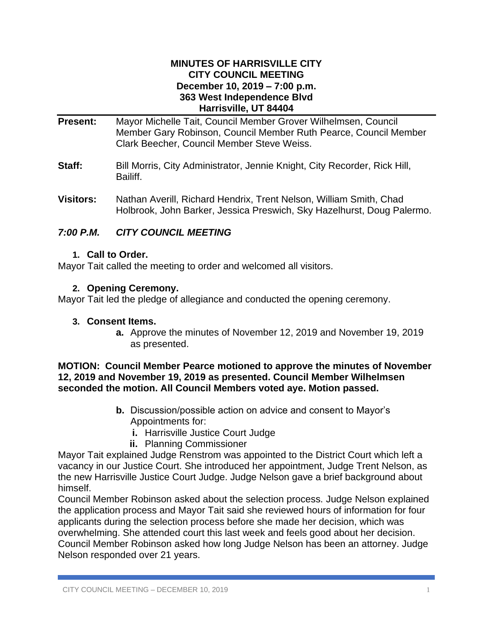### **MINUTES OF HARRISVILLE CITY CITY COUNCIL MEETING December 10, 2019 – 7:00 p.m. 363 West Independence Blvd Harrisville, UT 84404**

- **Present:** Mayor Michelle Tait, Council Member Grover Wilhelmsen, Council Member Gary Robinson, Council Member Ruth Pearce, Council Member Clark Beecher, Council Member Steve Weiss.
- **Staff:** Bill Morris, City Administrator, Jennie Knight, City Recorder, Rick Hill, Bailiff.
- **Visitors:** Nathan Averill, Richard Hendrix, Trent Nelson, William Smith, Chad Holbrook, John Barker, Jessica Preswich, Sky Hazelhurst, Doug Palermo.

# *7:00 P.M. CITY COUNCIL MEETING*

### **1. Call to Order.**

Mayor Tait called the meeting to order and welcomed all visitors.

### **2. Opening Ceremony.**

Mayor Tait led the pledge of allegiance and conducted the opening ceremony.

#### **3. Consent Items.**

**a.** Approve the minutes of November 12, 2019 and November 19, 2019 as presented.

### **MOTION: Council Member Pearce motioned to approve the minutes of November 12, 2019 and November 19, 2019 as presented. Council Member Wilhelmsen seconded the motion. All Council Members voted aye. Motion passed.**

- **b.** Discussion/possible action on advice and consent to Mayor's Appointments for:
	- **i.** Harrisville Justice Court Judge
	- **ii.** Planning Commissioner

Mayor Tait explained Judge Renstrom was appointed to the District Court which left a vacancy in our Justice Court. She introduced her appointment, Judge Trent Nelson, as the new Harrisville Justice Court Judge. Judge Nelson gave a brief background about himself.

Council Member Robinson asked about the selection process. Judge Nelson explained the application process and Mayor Tait said she reviewed hours of information for four applicants during the selection process before she made her decision, which was overwhelming. She attended court this last week and feels good about her decision. Council Member Robinson asked how long Judge Nelson has been an attorney. Judge Nelson responded over 21 years.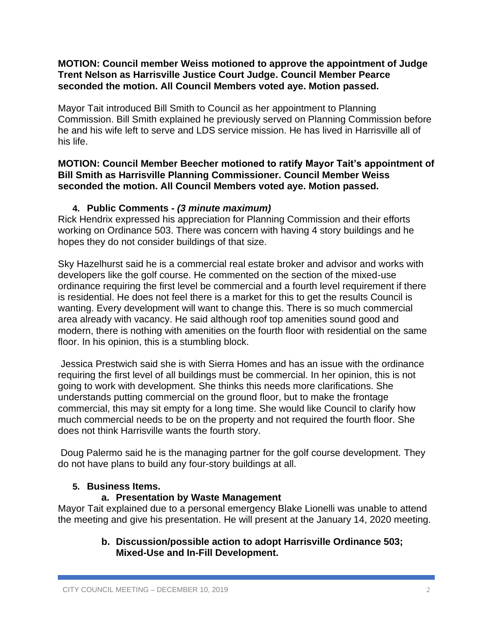### **MOTION: Council member Weiss motioned to approve the appointment of Judge Trent Nelson as Harrisville Justice Court Judge. Council Member Pearce seconded the motion. All Council Members voted aye. Motion passed.**

Mayor Tait introduced Bill Smith to Council as her appointment to Planning Commission. Bill Smith explained he previously served on Planning Commission before he and his wife left to serve and LDS service mission. He has lived in Harrisville all of his life.

### **MOTION: Council Member Beecher motioned to ratify Mayor Tait's appointment of Bill Smith as Harrisville Planning Commissioner. Council Member Weiss seconded the motion. All Council Members voted aye. Motion passed.**

# **4. Public Comments -** *(3 minute maximum)*

Rick Hendrix expressed his appreciation for Planning Commission and their efforts working on Ordinance 503. There was concern with having 4 story buildings and he hopes they do not consider buildings of that size.

Sky Hazelhurst said he is a commercial real estate broker and advisor and works with developers like the golf course. He commented on the section of the mixed-use ordinance requiring the first level be commercial and a fourth level requirement if there is residential. He does not feel there is a market for this to get the results Council is wanting. Every development will want to change this. There is so much commercial area already with vacancy. He said although roof top amenities sound good and modern, there is nothing with amenities on the fourth floor with residential on the same floor. In his opinion, this is a stumbling block.

Jessica Prestwich said she is with Sierra Homes and has an issue with the ordinance requiring the first level of all buildings must be commercial. In her opinion, this is not going to work with development. She thinks this needs more clarifications. She understands putting commercial on the ground floor, but to make the frontage commercial, this may sit empty for a long time. She would like Council to clarify how much commercial needs to be on the property and not required the fourth floor. She does not think Harrisville wants the fourth story.

Doug Palermo said he is the managing partner for the golf course development. They do not have plans to build any four-story buildings at all.

# **5. Business Items.**

# **a. Presentation by Waste Management**

Mayor Tait explained due to a personal emergency Blake Lionelli was unable to attend the meeting and give his presentation. He will present at the January 14, 2020 meeting.

# **b. Discussion/possible action to adopt Harrisville Ordinance 503; Mixed-Use and In-Fill Development.**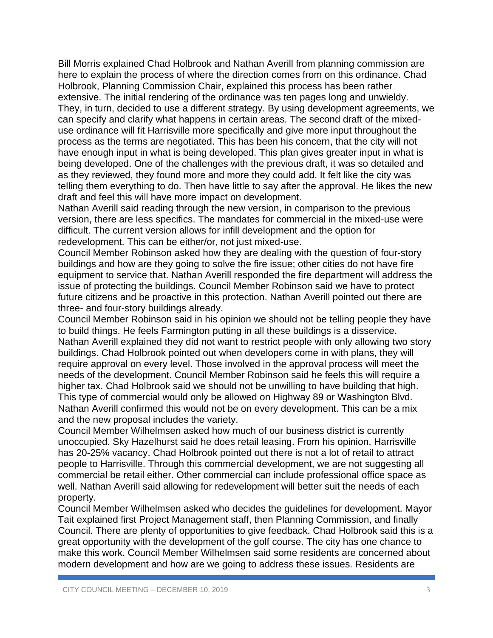Bill Morris explained Chad Holbrook and Nathan Averill from planning commission are here to explain the process of where the direction comes from on this ordinance. Chad Holbrook, Planning Commission Chair, explained this process has been rather extensive. The initial rendering of the ordinance was ten pages long and unwieldy. They, in turn, decided to use a different strategy. By using development agreements, we can specify and clarify what happens in certain areas. The second draft of the mixeduse ordinance will fit Harrisville more specifically and give more input throughout the process as the terms are negotiated. This has been his concern, that the city will not have enough input in what is being developed. This plan gives greater input in what is being developed. One of the challenges with the previous draft, it was so detailed and as they reviewed, they found more and more they could add. It felt like the city was telling them everything to do. Then have little to say after the approval. He likes the new draft and feel this will have more impact on development.

Nathan Averill said reading through the new version, in comparison to the previous version, there are less specifics. The mandates for commercial in the mixed-use were difficult. The current version allows for infill development and the option for redevelopment. This can be either/or, not just mixed-use.

Council Member Robinson asked how they are dealing with the question of four-story buildings and how are they going to solve the fire issue; other cities do not have fire equipment to service that. Nathan Averill responded the fire department will address the issue of protecting the buildings. Council Member Robinson said we have to protect future citizens and be proactive in this protection. Nathan Averill pointed out there are three- and four-story buildings already.

Council Member Robinson said in his opinion we should not be telling people they have to build things. He feels Farmington putting in all these buildings is a disservice. Nathan Averill explained they did not want to restrict people with only allowing two story buildings. Chad Holbrook pointed out when developers come in with plans, they will require approval on every level. Those involved in the approval process will meet the needs of the development. Council Member Robinson said he feels this will require a higher tax. Chad Holbrook said we should not be unwilling to have building that high. This type of commercial would only be allowed on Highway 89 or Washington Blvd. Nathan Averill confirmed this would not be on every development. This can be a mix and the new proposal includes the variety.

Council Member Wilhelmsen asked how much of our business district is currently unoccupied. Sky Hazelhurst said he does retail leasing. From his opinion, Harrisville has 20-25% vacancy. Chad Holbrook pointed out there is not a lot of retail to attract people to Harrisville. Through this commercial development, we are not suggesting all commercial be retail either. Other commercial can include professional office space as well. Nathan Averill said allowing for redevelopment will better suit the needs of each property.

Council Member Wilhelmsen asked who decides the guidelines for development. Mayor Tait explained first Project Management staff, then Planning Commission, and finally Council. There are plenty of opportunities to give feedback. Chad Holbrook said this is a great opportunity with the development of the golf course. The city has one chance to make this work. Council Member Wilhelmsen said some residents are concerned about modern development and how are we going to address these issues. Residents are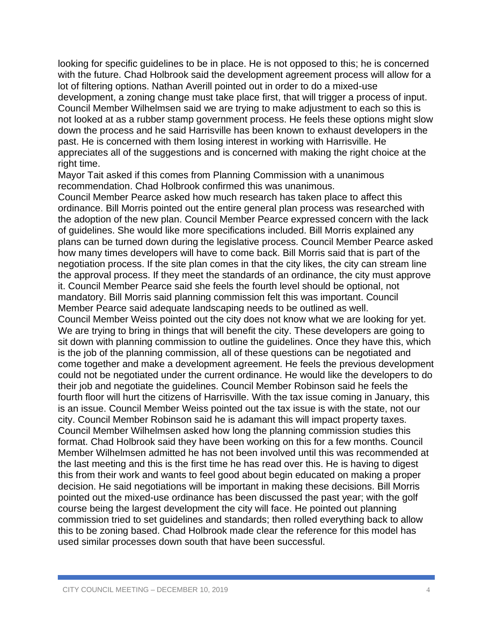looking for specific guidelines to be in place. He is not opposed to this; he is concerned with the future. Chad Holbrook said the development agreement process will allow for a lot of filtering options. Nathan Averill pointed out in order to do a mixed-use development, a zoning change must take place first, that will trigger a process of input. Council Member Wilhelmsen said we are trying to make adjustment to each so this is not looked at as a rubber stamp government process. He feels these options might slow down the process and he said Harrisville has been known to exhaust developers in the past. He is concerned with them losing interest in working with Harrisville. He appreciates all of the suggestions and is concerned with making the right choice at the right time.

Mayor Tait asked if this comes from Planning Commission with a unanimous recommendation. Chad Holbrook confirmed this was unanimous.

Council Member Pearce asked how much research has taken place to affect this ordinance. Bill Morris pointed out the entire general plan process was researched with the adoption of the new plan. Council Member Pearce expressed concern with the lack of guidelines. She would like more specifications included. Bill Morris explained any plans can be turned down during the legislative process. Council Member Pearce asked how many times developers will have to come back. Bill Morris said that is part of the negotiation process. If the site plan comes in that the city likes, the city can stream line the approval process. If they meet the standards of an ordinance, the city must approve it. Council Member Pearce said she feels the fourth level should be optional, not mandatory. Bill Morris said planning commission felt this was important. Council Member Pearce said adequate landscaping needs to be outlined as well.

Council Member Weiss pointed out the city does not know what we are looking for yet. We are trying to bring in things that will benefit the city. These developers are going to sit down with planning commission to outline the guidelines. Once they have this, which is the job of the planning commission, all of these questions can be negotiated and come together and make a development agreement. He feels the previous development could not be negotiated under the current ordinance. He would like the developers to do their job and negotiate the guidelines. Council Member Robinson said he feels the fourth floor will hurt the citizens of Harrisville. With the tax issue coming in January, this is an issue. Council Member Weiss pointed out the tax issue is with the state, not our city. Council Member Robinson said he is adamant this will impact property taxes. Council Member Wilhelmsen asked how long the planning commission studies this format. Chad Holbrook said they have been working on this for a few months. Council Member Wilhelmsen admitted he has not been involved until this was recommended at the last meeting and this is the first time he has read over this. He is having to digest this from their work and wants to feel good about begin educated on making a proper decision. He said negotiations will be important in making these decisions. Bill Morris pointed out the mixed-use ordinance has been discussed the past year; with the golf course being the largest development the city will face. He pointed out planning commission tried to set guidelines and standards; then rolled everything back to allow this to be zoning based. Chad Holbrook made clear the reference for this model has used similar processes down south that have been successful.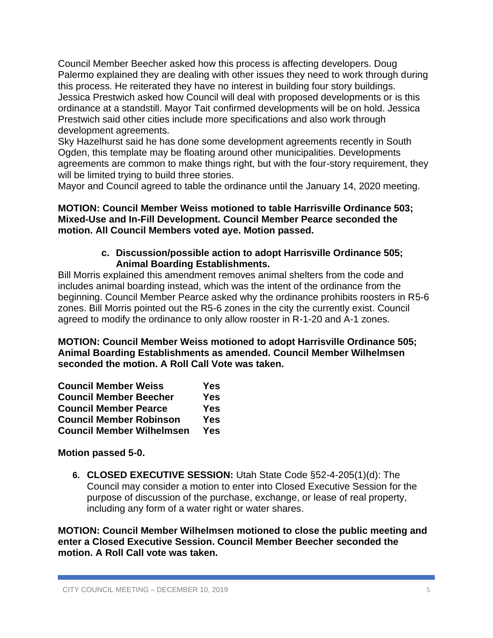Council Member Beecher asked how this process is affecting developers. Doug Palermo explained they are dealing with other issues they need to work through during this process. He reiterated they have no interest in building four story buildings. Jessica Prestwich asked how Council will deal with proposed developments or is this ordinance at a standstill. Mayor Tait confirmed developments will be on hold. Jessica Prestwich said other cities include more specifications and also work through development agreements.

Sky Hazelhurst said he has done some development agreements recently in South Ogden, this template may be floating around other municipalities. Developments agreements are common to make things right, but with the four-story requirement, they will be limited trying to build three stories.

Mayor and Council agreed to table the ordinance until the January 14, 2020 meeting.

### **MOTION: Council Member Weiss motioned to table Harrisville Ordinance 503; Mixed-Use and In-Fill Development. Council Member Pearce seconded the motion. All Council Members voted aye. Motion passed.**

## **c. Discussion/possible action to adopt Harrisville Ordinance 505; Animal Boarding Establishments.**

Bill Morris explained this amendment removes animal shelters from the code and includes animal boarding instead, which was the intent of the ordinance from the beginning. Council Member Pearce asked why the ordinance prohibits roosters in R5-6 zones. Bill Morris pointed out the R5-6 zones in the city the currently exist. Council agreed to modify the ordinance to only allow rooster in R-1-20 and A-1 zones.

**MOTION: Council Member Weiss motioned to adopt Harrisville Ordinance 505; Animal Boarding Establishments as amended. Council Member Wilhelmsen seconded the motion. A Roll Call Vote was taken.**

| <b>Council Member Weiss</b>      | Yes        |
|----------------------------------|------------|
| <b>Council Member Beecher</b>    | <b>Yes</b> |
| <b>Council Member Pearce</b>     | Yes        |
| <b>Council Member Robinson</b>   | <b>Yes</b> |
| <b>Council Member Wilhelmsen</b> | Yes        |

# **Motion passed 5-0.**

**6. CLOSED EXECUTIVE SESSION:** Utah State Code §52-4-205(1)(d): The Council may consider a motion to enter into Closed Executive Session for the purpose of discussion of the purchase, exchange, or lease of real property, including any form of a water right or water shares.

**MOTION: Council Member Wilhelmsen motioned to close the public meeting and enter a Closed Executive Session. Council Member Beecher seconded the motion. A Roll Call vote was taken.**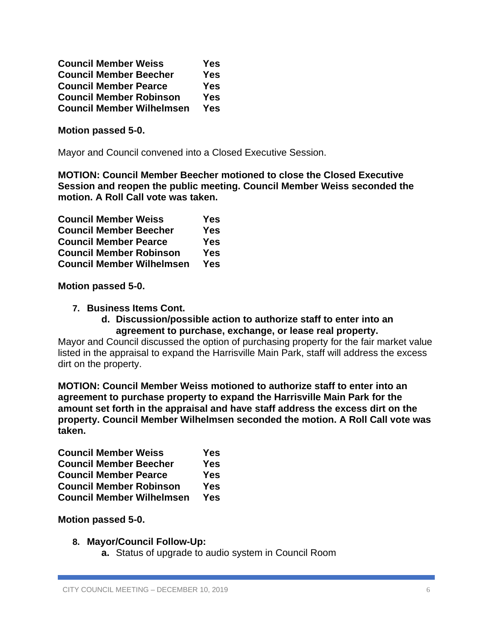| <b>Council Member Weiss</b>      | <b>Yes</b> |
|----------------------------------|------------|
| <b>Council Member Beecher</b>    | <b>Yes</b> |
| <b>Council Member Pearce</b>     | <b>Yes</b> |
| <b>Council Member Robinson</b>   | <b>Yes</b> |
| <b>Council Member Wilhelmsen</b> | <b>Yes</b> |

### **Motion passed 5-0.**

Mayor and Council convened into a Closed Executive Session.

**MOTION: Council Member Beecher motioned to close the Closed Executive Session and reopen the public meeting. Council Member Weiss seconded the motion. A Roll Call vote was taken.**

| <b>Council Member Weiss</b>      | Yes        |
|----------------------------------|------------|
| <b>Council Member Beecher</b>    | <b>Yes</b> |
| <b>Council Member Pearce</b>     | <b>Yes</b> |
| <b>Council Member Robinson</b>   | <b>Yes</b> |
| <b>Council Member Wilhelmsen</b> | <b>Yes</b> |

**Motion passed 5-0.**

- **7. Business Items Cont.**
	- **d. Discussion/possible action to authorize staff to enter into an agreement to purchase, exchange, or lease real property.**

Mayor and Council discussed the option of purchasing property for the fair market value listed in the appraisal to expand the Harrisville Main Park, staff will address the excess dirt on the property.

**MOTION: Council Member Weiss motioned to authorize staff to enter into an agreement to purchase property to expand the Harrisville Main Park for the amount set forth in the appraisal and have staff address the excess dirt on the property. Council Member Wilhelmsen seconded the motion. A Roll Call vote was taken.**

| <b>Council Member Weiss</b>      | Yes        |
|----------------------------------|------------|
| <b>Council Member Beecher</b>    | Yes        |
| <b>Council Member Pearce</b>     | <b>Yes</b> |
| <b>Council Member Robinson</b>   | <b>Yes</b> |
| <b>Council Member Wilhelmsen</b> | <b>Yes</b> |

**Motion passed 5-0.**

- **8. Mayor/Council Follow-Up:**
	- **a.** Status of upgrade to audio system in Council Room